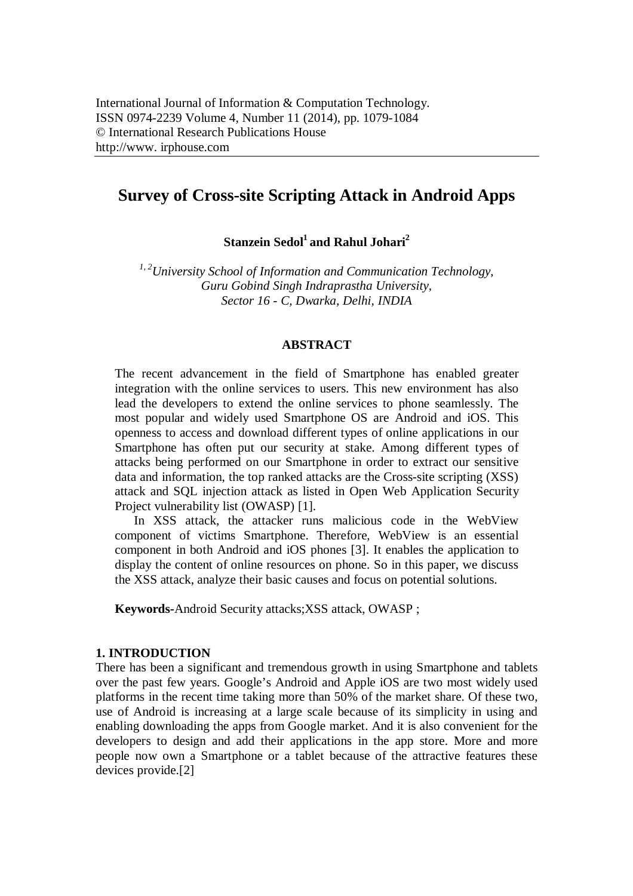# **Survey of Cross-site Scripting Attack in Android Apps**

**Stanzein Sedol<sup>1</sup>and Rahul Johari<sup>2</sup>**

*1, 2University School of Information and Communication Technology, Guru Gobind Singh Indraprastha University, Sector 16 - C, Dwarka, Delhi, INDIA*

## **ABSTRACT**

The recent advancement in the field of Smartphone has enabled greater integration with the online services to users. This new environment has also lead the developers to extend the online services to phone seamlessly. The most popular and widely used Smartphone OS are Android and iOS. This openness to access and download different types of online applications in our Smartphone has often put our security at stake. Among different types of attacks being performed on our Smartphone in order to extract our sensitive data and information, the top ranked attacks are the Cross-site scripting (XSS) attack and SQL injection attack as listed in Open Web Application Security Project vulnerability list (OWASP) [1].

In XSS attack, the attacker runs malicious code in the WebView component of victims Smartphone. Therefore, WebView is an essential component in both Android and iOS phones [3]. It enables the application to display the content of online resources on phone. So in this paper, we discuss the XSS attack, analyze their basic causes and focus on potential solutions.

**Keywords-**Android Security attacks;XSS attack, OWASP ;

#### **1. INTRODUCTION**

There has been a significant and tremendous growth in using Smartphone and tablets over the past few years. Google's Android and Apple iOS are two most widely used platforms in the recent time taking more than 50% of the market share. Of these two, use of Android is increasing at a large scale because of its simplicity in using and enabling downloading the apps from Google market. And it is also convenient for the developers to design and add their applications in the app store. More and more people now own a Smartphone or a tablet because of the attractive features these devices provide.[2]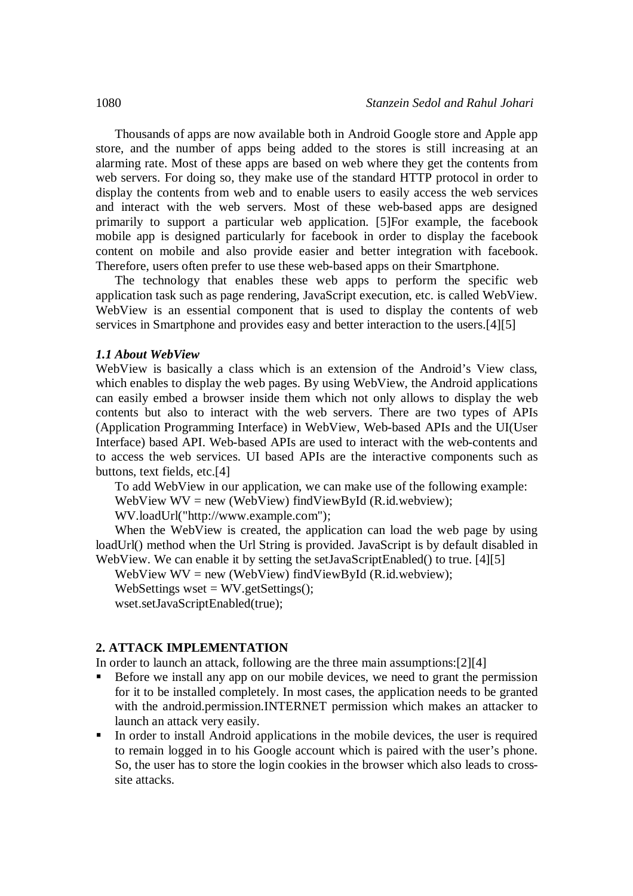Thousands of apps are now available both in Android Google store and Apple app store, and the number of apps being added to the stores is still increasing at an alarming rate. Most of these apps are based on web where they get the contents from web servers. For doing so, they make use of the standard HTTP protocol in order to display the contents from web and to enable users to easily access the web services and interact with the web servers. Most of these web-based apps are designed primarily to support a particular web application. [5]For example, the facebook mobile app is designed particularly for facebook in order to display the facebook content on mobile and also provide easier and better integration with facebook. Therefore, users often prefer to use these web-based apps on their Smartphone.

The technology that enables these web apps to perform the specific web application task such as page rendering, JavaScript execution, etc. is called WebView. WebView is an essential component that is used to display the contents of web services in Smartphone and provides easy and better interaction to the users.[4][5]

#### *1.1 About WebView*

WebView is basically a class which is an extension of the Android's View class, which enables to display the web pages. By using WebView, the Android applications can easily embed a browser inside them which not only allows to display the web contents but also to interact with the web servers. There are two types of APIs (Application Programming Interface) in WebView, Web-based APIs and the UI(User Interface) based API. Web-based APIs are used to interact with the web-contents and to access the web services. UI based APIs are the interactive components such as buttons, text fields, etc.[4]

To add WebView in our application, we can make use of the following example: WebView WV = new (WebView) findViewById (R.id.webview);

WV.loadUrl("http://www.example.com");

When the WebView is created, the application can load the web page by using loadUrl() method when the Url String is provided. JavaScript is by default disabled in WebView. We can enable it by setting the setJavaScriptEnabled() to true. [4][5]

WebView  $WV = new$  (WebView) findViewById (R.id.webview);

WebSettings wset  $=$  WV.getSettings $()$ :

wset.setJavaScriptEnabled(true);

# **2. ATTACK IMPLEMENTATION**

In order to launch an attack, following are the three main assumptions:[2][4]

- Before we install any app on our mobile devices, we need to grant the permission for it to be installed completely. In most cases, the application needs to be granted with the android.permission.INTERNET permission which makes an attacker to launch an attack very easily.
- In order to install Android applications in the mobile devices, the user is required to remain logged in to his Google account which is paired with the user's phone. So, the user has to store the login cookies in the browser which also leads to crosssite attacks.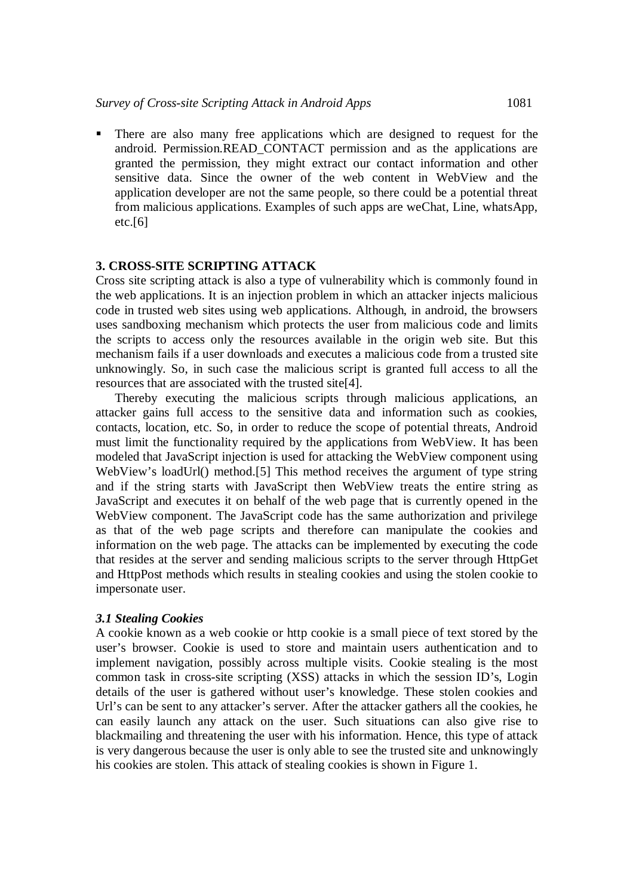There are also many free applications which are designed to request for the android. Permission.READ\_CONTACT permission and as the applications are granted the permission, they might extract our contact information and other sensitive data. Since the owner of the web content in WebView and the application developer are not the same people, so there could be a potential threat from malicious applications. Examples of such apps are weChat, Line, whatsApp,  $etc.[6]$ 

## **3. CROSS-SITE SCRIPTING ATTACK**

Cross site scripting attack is also a type of vulnerability which is commonly found in the web applications. It is an injection problem in which an attacker injects malicious code in trusted web sites using web applications. Although, in android, the browsers uses sandboxing mechanism which protects the user from malicious code and limits the scripts to access only the resources available in the origin web site. But this mechanism fails if a user downloads and executes a malicious code from a trusted site unknowingly. So, in such case the malicious script is granted full access to all the resources that are associated with the trusted site[4].

Thereby executing the malicious scripts through malicious applications, an attacker gains full access to the sensitive data and information such as cookies, contacts, location, etc. So, in order to reduce the scope of potential threats, Android must limit the functionality required by the applications from WebView. It has been modeled that JavaScript injection is used for attacking the WebView component using WebView's loadUrl() method.[5] This method receives the argument of type string and if the string starts with JavaScript then WebView treats the entire string as JavaScript and executes it on behalf of the web page that is currently opened in the WebView component. The JavaScript code has the same authorization and privilege as that of the web page scripts and therefore can manipulate the cookies and information on the web page. The attacks can be implemented by executing the code that resides at the server and sending malicious scripts to the server through HttpGet and HttpPost methods which results in stealing cookies and using the stolen cookie to impersonate user.

#### *3.1 Stealing Cookies*

A cookie known as a web cookie or http cookie is a small piece of text stored by the user's browser. Cookie is used to store and maintain users authentication and to implement navigation, possibly across multiple visits. Cookie stealing is the most common task in cross-site scripting (XSS) attacks in which the session ID's, Login details of the user is gathered without user's knowledge. These stolen cookies and Url's can be sent to any attacker's server. After the attacker gathers all the cookies, he can easily launch any attack on the user. Such situations can also give rise to blackmailing and threatening the user with his information. Hence, this type of attack is very dangerous because the user is only able to see the trusted site and unknowingly his cookies are stolen. This attack of stealing cookies is shown in Figure 1.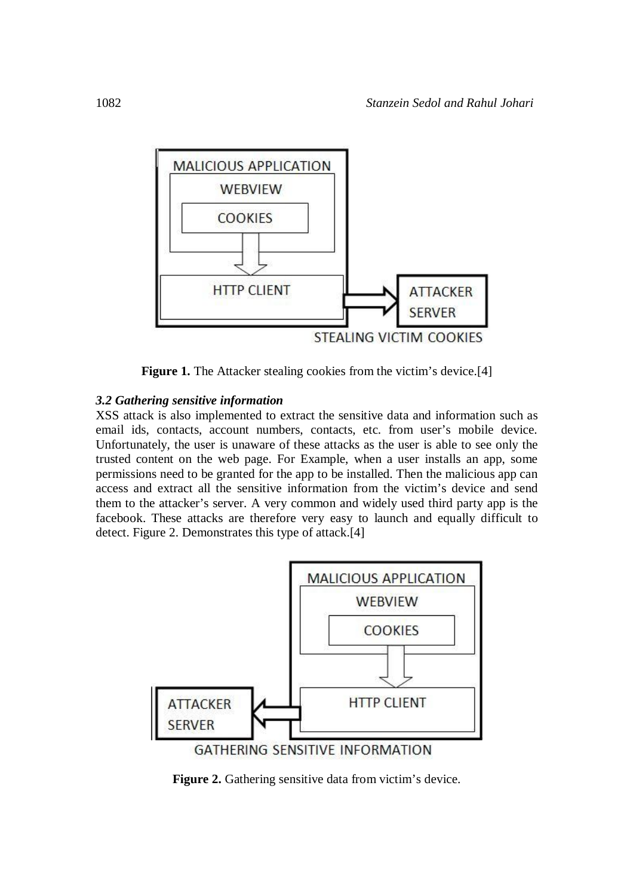

**Figure 1.** The Attacker stealing cookies from the victim's device.<sup>[4]</sup>

# *3.2 Gathering sensitive information*

XSS attack is also implemented to extract the sensitive data and information such as email ids, contacts, account numbers, contacts, etc. from user's mobile device. Unfortunately, the user is unaware of these attacks as the user is able to see only the trusted content on the web page. For Example, when a user installs an app, some permissions need to be granted for the app to be installed. Then the malicious app can access and extract all the sensitive information from the victim's device and send them to the attacker's server. A very common and widely used third party app is the facebook. These attacks are therefore very easy to launch and equally difficult to detect. Figure 2. Demonstrates this type of attack.<sup>[4]</sup>



Figure 2. Gathering sensitive data from victim's device.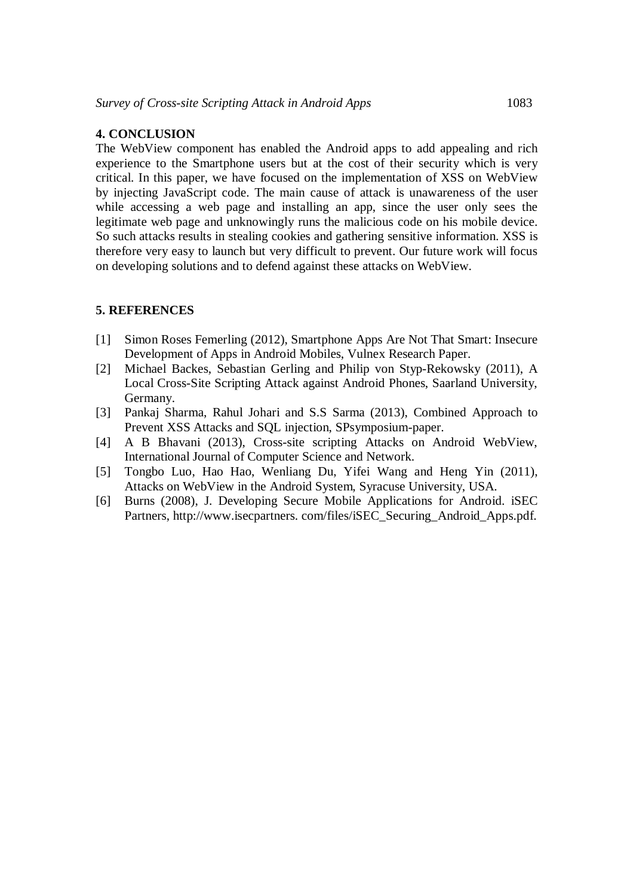## **4. CONCLUSION**

The WebView component has enabled the Android apps to add appealing and rich experience to the Smartphone users but at the cost of their security which is very critical. In this paper, we have focused on the implementation of XSS on WebView by injecting JavaScript code. The main cause of attack is unawareness of the user while accessing a web page and installing an app, since the user only sees the legitimate web page and unknowingly runs the malicious code on his mobile device. So such attacks results in stealing cookies and gathering sensitive information. XSS is therefore very easy to launch but very difficult to prevent. Our future work will focus on developing solutions and to defend against these attacks on WebView.

## **5. REFERENCES**

- [1] Simon Roses Femerling (2012), Smartphone Apps Are Not That Smart: Insecure Development of Apps in Android Mobiles, Vulnex Research Paper.
- [2] Michael Backes, Sebastian Gerling and Philip von Styp-Rekowsky (2011), A Local Cross-Site Scripting Attack against Android Phones, Saarland University, Germany.
- [3] Pankaj Sharma, Rahul Johari and S.S Sarma (2013), Combined Approach to Prevent XSS Attacks and SQL injection, SPsymposium-paper.
- [4] A B Bhavani (2013), Cross-site scripting Attacks on Android WebView, International Journal of Computer Science and Network.
- [5] Tongbo Luo, Hao Hao, Wenliang Du, Yifei Wang and Heng Yin (2011), Attacks on WebView in the Android System, Syracuse University, USA.
- [6] Burns (2008), J. Developing Secure Mobile Applications for Android. iSEC Partners, http://www.isecpartners.com/files/iSEC\_Securing\_Android\_Apps.pdf.